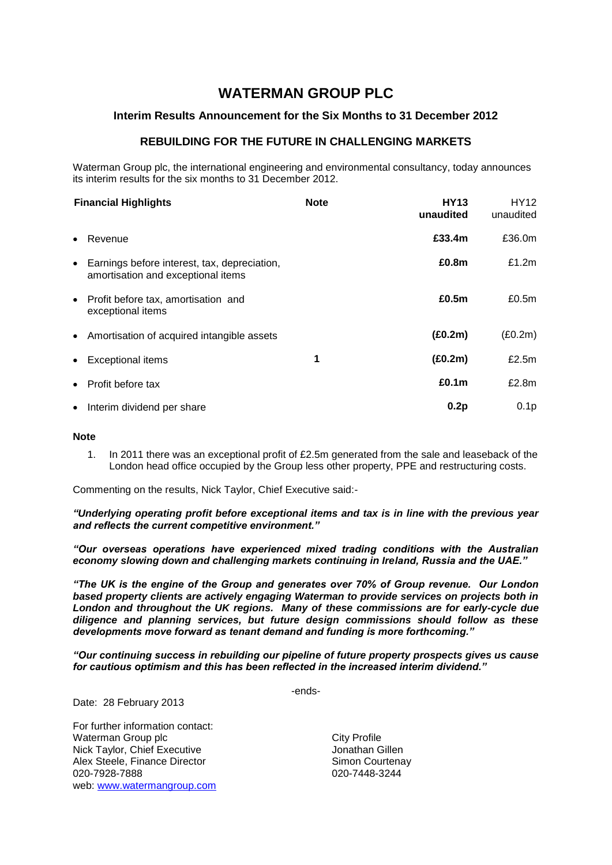# **WATERMAN GROUP PLC**

# **Interim Results Announcement for the Six Months to 31 December 2012**

# **REBUILDING FOR THE FUTURE IN CHALLENGING MARKETS**

Waterman Group plc, the international engineering and environmental consultancy, today announces its interim results for the six months to 31 December 2012.

| <b>Financial Highlights</b>                                                          | <b>Note</b> | <b>HY13</b><br>unaudited | HY12<br>unaudited |
|--------------------------------------------------------------------------------------|-------------|--------------------------|-------------------|
| Revenue<br>$\bullet$                                                                 |             | £33.4m                   | £36.0m            |
| • Earnings before interest, tax, depreciation,<br>amortisation and exceptional items |             | £0.8m                    | £1.2m             |
| • Profit before tax, amortisation and<br>exceptional items                           |             | £0.5m                    | £0.5m             |
| Amortisation of acquired intangible assets<br>$\bullet$                              |             | (E0.2m)                  | (E0.2m)           |
| <b>Exceptional items</b><br>$\bullet$                                                | 1           | (E0.2m)                  | £2.5m             |
| Profit before tax<br>$\bullet$                                                       |             | £0.1 $m$                 | £2.8m             |
| • Interim dividend per share                                                         |             | 0.2p                     | 0.1 <sub>p</sub>  |

# **Note**

1. In 2011 there was an exceptional profit of £2.5m generated from the sale and leaseback of the London head office occupied by the Group less other property, PPE and restructuring costs.

Commenting on the results, Nick Taylor, Chief Executive said:-

*"Underlying operating profit before exceptional items and tax is in line with the previous year and reflects the current competitive environment."*

*"Our overseas operations have experienced mixed trading conditions with the Australian economy slowing down and challenging markets continuing in Ireland, Russia and the UAE."*

*"The UK is the engine of the Group and generates over 70% of Group revenue. Our London based property clients are actively engaging Waterman to provide services on projects both in London and throughout the UK regions. Many of these commissions are for early-cycle due diligence and planning services, but future design commissions should follow as these developments move forward as tenant demand and funding is more forthcoming."*

*"Our continuing success in rebuilding our pipeline of future property prospects gives us cause for cautious optimism and this has been reflected in the increased interim dividend."*

-ends-

Date: 28 February 2013

For further information contact: Waterman Group plc **City Profile** Nick Taylor, Chief Executive **Internal Constructs** Jonathan Gillen Alex Steele, Finance Director Simon Courtenay 020-7928-7888 020-7448-3244 web: [www.watermangroup.com](http://www.watermangroup.com/)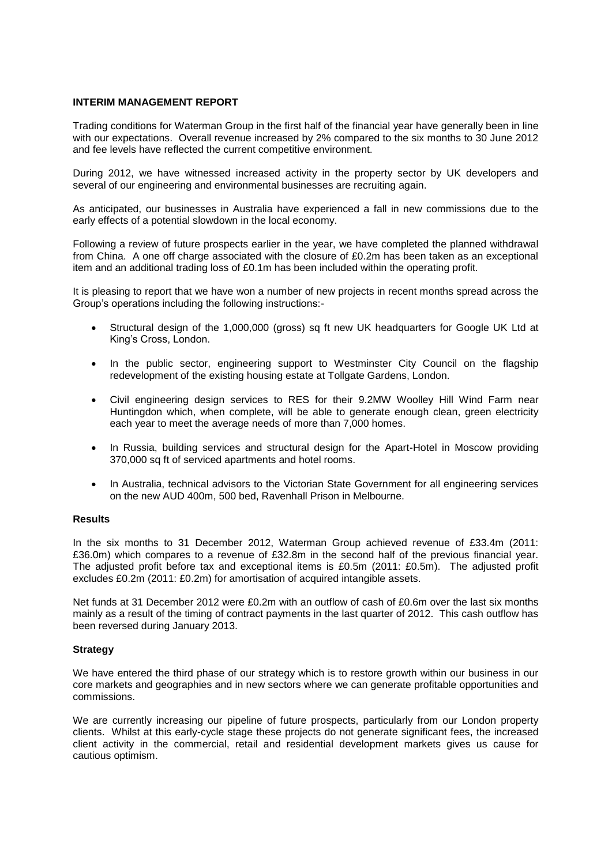#### **INTERIM MANAGEMENT REPORT**

Trading conditions for Waterman Group in the first half of the financial year have generally been in line with our expectations. Overall revenue increased by 2% compared to the six months to 30 June 2012 and fee levels have reflected the current competitive environment.

During 2012, we have witnessed increased activity in the property sector by UK developers and several of our engineering and environmental businesses are recruiting again.

As anticipated, our businesses in Australia have experienced a fall in new commissions due to the early effects of a potential slowdown in the local economy.

Following a review of future prospects earlier in the year, we have completed the planned withdrawal from China. A one off charge associated with the closure of £0.2m has been taken as an exceptional item and an additional trading loss of £0.1m has been included within the operating profit.

It is pleasing to report that we have won a number of new projects in recent months spread across the Group's operations including the following instructions:-

- Structural design of the 1,000,000 (gross) sq ft new UK headquarters for Google UK Ltd at King's Cross, London.
- In the public sector, engineering support to Westminster City Council on the flagship redevelopment of the existing housing estate at Tollgate Gardens, London.
- Civil engineering design services to RES for their 9.2MW Woolley Hill Wind Farm near Huntingdon which, when complete, will be able to generate enough clean, green electricity each year to meet the average needs of more than 7,000 homes.
- In Russia, building services and structural design for the Apart-Hotel in Moscow providing 370,000 sq ft of serviced apartments and hotel rooms.
- In Australia, technical advisors to the Victorian State Government for all engineering services on the new AUD 400m, 500 bed, Ravenhall Prison in Melbourne.

#### **Results**

In the six months to 31 December 2012, Waterman Group achieved revenue of £33.4m (2011: £36.0m) which compares to a revenue of £32.8m in the second half of the previous financial year. The adjusted profit before tax and exceptional items is £0.5m (2011: £0.5m). The adjusted profit excludes £0.2m (2011: £0.2m) for amortisation of acquired intangible assets.

Net funds at 31 December 2012 were £0.2m with an outflow of cash of £0.6m over the last six months mainly as a result of the timing of contract payments in the last quarter of 2012. This cash outflow has been reversed during January 2013.

#### **Strategy**

We have entered the third phase of our strategy which is to restore growth within our business in our core markets and geographies and in new sectors where we can generate profitable opportunities and commissions.

We are currently increasing our pipeline of future prospects, particularly from our London property clients. Whilst at this early-cycle stage these projects do not generate significant fees, the increased client activity in the commercial, retail and residential development markets gives us cause for cautious optimism.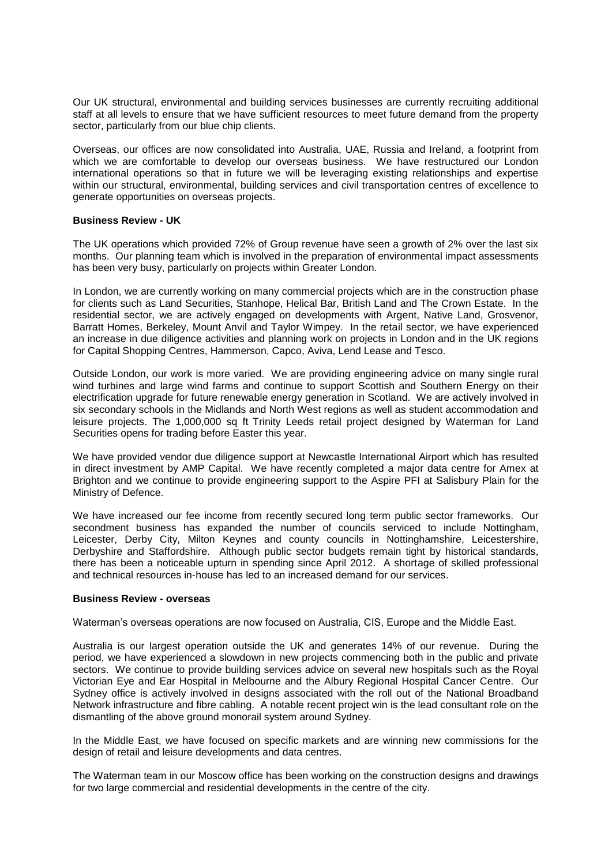Our UK structural, environmental and building services businesses are currently recruiting additional staff at all levels to ensure that we have sufficient resources to meet future demand from the property sector, particularly from our blue chip clients.

Overseas, our offices are now consolidated into Australia, UAE, Russia and Ireland, a footprint from which we are comfortable to develop our overseas business. We have restructured our London international operations so that in future we will be leveraging existing relationships and expertise within our structural, environmental, building services and civil transportation centres of excellence to generate opportunities on overseas projects.

#### **Business Review - UK**

The UK operations which provided 72% of Group revenue have seen a growth of 2% over the last six months. Our planning team which is involved in the preparation of environmental impact assessments has been very busy, particularly on projects within Greater London.

In London, we are currently working on many commercial projects which are in the construction phase for clients such as Land Securities, Stanhope, Helical Bar, British Land and The Crown Estate. In the residential sector, we are actively engaged on developments with Argent, Native Land, Grosvenor, Barratt Homes, Berkeley, Mount Anvil and Taylor Wimpey. In the retail sector, we have experienced an increase in due diligence activities and planning work on projects in London and in the UK regions for Capital Shopping Centres, Hammerson, Capco, Aviva, Lend Lease and Tesco.

Outside London, our work is more varied. We are providing engineering advice on many single rural wind turbines and large wind farms and continue to support Scottish and Southern Energy on their electrification upgrade for future renewable energy generation in Scotland. We are actively involved in six secondary schools in the Midlands and North West regions as well as student accommodation and leisure projects. The 1,000,000 sq ft Trinity Leeds retail project designed by Waterman for Land Securities opens for trading before Easter this year.

We have provided vendor due diligence support at Newcastle International Airport which has resulted in direct investment by AMP Capital. We have recently completed a major data centre for Amex at Brighton and we continue to provide engineering support to the Aspire PFI at Salisbury Plain for the Ministry of Defence.

We have increased our fee income from recently secured long term public sector frameworks. Our secondment business has expanded the number of councils serviced to include Nottingham, Leicester, Derby City, Milton Keynes and county councils in Nottinghamshire, Leicestershire, Derbyshire and Staffordshire. Although public sector budgets remain tight by historical standards, there has been a noticeable upturn in spending since April 2012. A shortage of skilled professional and technical resources in-house has led to an increased demand for our services.

#### **Business Review - overseas**

Waterman's overseas operations are now focused on Australia, CIS, Europe and the Middle East.

Australia is our largest operation outside the UK and generates 14% of our revenue. During the period, we have experienced a slowdown in new projects commencing both in the public and private sectors. We continue to provide building services advice on several new hospitals such as the Royal Victorian Eye and Ear Hospital in Melbourne and the Albury Regional Hospital Cancer Centre. Our Sydney office is actively involved in designs associated with the roll out of the National Broadband Network infrastructure and fibre cabling. A notable recent project win is the lead consultant role on the dismantling of the above ground monorail system around Sydney.

In the Middle East, we have focused on specific markets and are winning new commissions for the design of retail and leisure developments and data centres.

The Waterman team in our Moscow office has been working on the construction designs and drawings for two large commercial and residential developments in the centre of the city.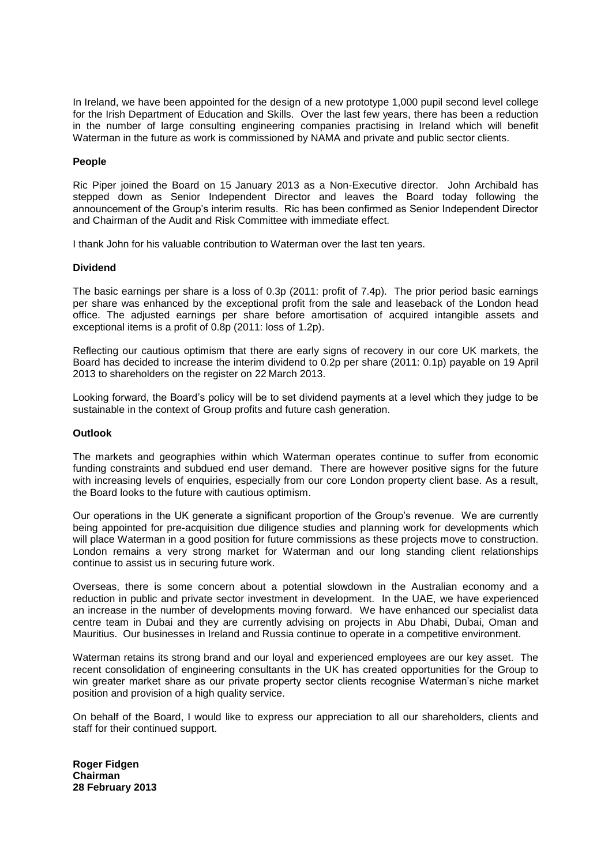In Ireland, we have been appointed for the design of a new prototype 1,000 pupil second level college for the Irish Department of Education and Skills. Over the last few years, there has been a reduction in the number of large consulting engineering companies practising in Ireland which will benefit Waterman in the future as work is commissioned by NAMA and private and public sector clients.

#### **People**

Ric Piper joined the Board on 15 January 2013 as a Non-Executive director. John Archibald has stepped down as Senior Independent Director and leaves the Board today following the announcement of the Group's interim results. Ric has been confirmed as Senior Independent Director and Chairman of the Audit and Risk Committee with immediate effect.

I thank John for his valuable contribution to Waterman over the last ten years.

#### **Dividend**

The basic earnings per share is a loss of 0.3p (2011: profit of 7.4p). The prior period basic earnings per share was enhanced by the exceptional profit from the sale and leaseback of the London head office. The adjusted earnings per share before amortisation of acquired intangible assets and exceptional items is a profit of 0.8p (2011: loss of 1.2p).

Reflecting our cautious optimism that there are early signs of recovery in our core UK markets, the Board has decided to increase the interim dividend to 0.2p per share (2011: 0.1p) payable on 19 April 2013 to shareholders on the register on 22 March 2013.

Looking forward, the Board's policy will be to set dividend payments at a level which they judge to be sustainable in the context of Group profits and future cash generation.

#### **Outlook**

The markets and geographies within which Waterman operates continue to suffer from economic funding constraints and subdued end user demand. There are however positive signs for the future with increasing levels of enquiries, especially from our core London property client base. As a result, the Board looks to the future with cautious optimism.

Our operations in the UK generate a significant proportion of the Group's revenue. We are currently being appointed for pre-acquisition due diligence studies and planning work for developments which will place Waterman in a good position for future commissions as these projects move to construction. London remains a very strong market for Waterman and our long standing client relationships continue to assist us in securing future work.

Overseas, there is some concern about a potential slowdown in the Australian economy and a reduction in public and private sector investment in development. In the UAE, we have experienced an increase in the number of developments moving forward. We have enhanced our specialist data centre team in Dubai and they are currently advising on projects in Abu Dhabi, Dubai, Oman and Mauritius. Our businesses in Ireland and Russia continue to operate in a competitive environment.

Waterman retains its strong brand and our loyal and experienced employees are our key asset. The recent consolidation of engineering consultants in the UK has created opportunities for the Group to win greater market share as our private property sector clients recognise Waterman's niche market position and provision of a high quality service.

On behalf of the Board, I would like to express our appreciation to all our shareholders, clients and staff for their continued support.

**Roger Fidgen Chairman 28 February 2013**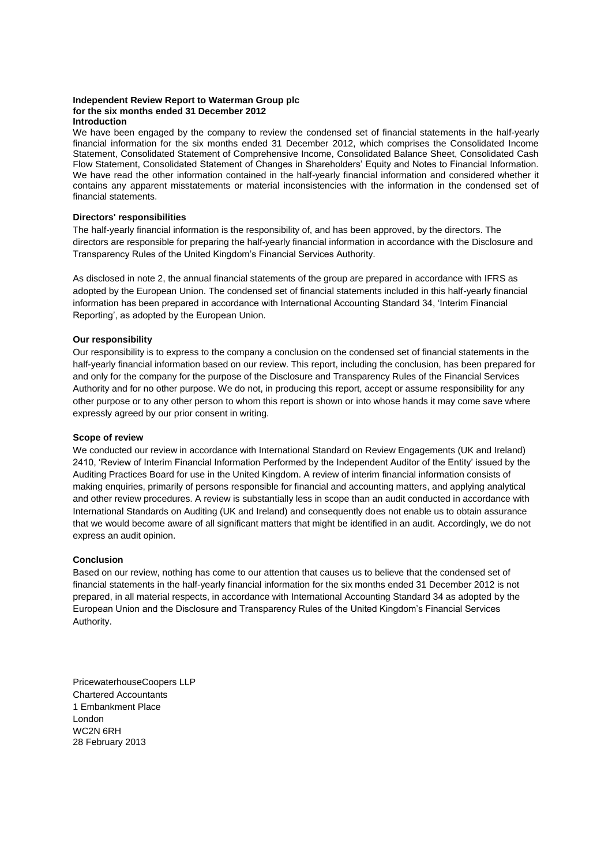#### **Independent Review Report to Waterman Group plc for the six months ended 31 December 2012 Introduction**

We have been engaged by the company to review the condensed set of financial statements in the half-yearly financial information for the six months ended 31 December 2012, which comprises the Consolidated Income Statement, Consolidated Statement of Comprehensive Income, Consolidated Balance Sheet, Consolidated Cash Flow Statement, Consolidated Statement of Changes in Shareholders' Equity and Notes to Financial Information. We have read the other information contained in the half-yearly financial information and considered whether it contains any apparent misstatements or material inconsistencies with the information in the condensed set of financial statements.

#### **Directors' responsibilities**

The half-yearly financial information is the responsibility of, and has been approved, by the directors. The directors are responsible for preparing the half-yearly financial information in accordance with the Disclosure and Transparency Rules of the United Kingdom's Financial Services Authority.

As disclosed in note 2, the annual financial statements of the group are prepared in accordance with IFRS as adopted by the European Union. The condensed set of financial statements included in this half-yearly financial information has been prepared in accordance with International Accounting Standard 34, 'Interim Financial Reporting', as adopted by the European Union.

#### **Our responsibility**

Our responsibility is to express to the company a conclusion on the condensed set of financial statements in the half-yearly financial information based on our review. This report, including the conclusion, has been prepared for and only for the company for the purpose of the Disclosure and Transparency Rules of the Financial Services Authority and for no other purpose. We do not, in producing this report, accept or assume responsibility for any other purpose or to any other person to whom this report is shown or into whose hands it may come save where expressly agreed by our prior consent in writing.

#### **Scope of review**

We conducted our review in accordance with International Standard on Review Engagements (UK and Ireland) 2410, 'Review of Interim Financial Information Performed by the Independent Auditor of the Entity' issued by the Auditing Practices Board for use in the United Kingdom. A review of interim financial information consists of making enquiries, primarily of persons responsible for financial and accounting matters, and applying analytical and other review procedures. A review is substantially less in scope than an audit conducted in accordance with International Standards on Auditing (UK and Ireland) and consequently does not enable us to obtain assurance that we would become aware of all significant matters that might be identified in an audit. Accordingly, we do not express an audit opinion.

#### **Conclusion**

Based on our review, nothing has come to our attention that causes us to believe that the condensed set of financial statements in the half-yearly financial information for the six months ended 31 December 2012 is not prepared, in all material respects, in accordance with International Accounting Standard 34 as adopted by the European Union and the Disclosure and Transparency Rules of the United Kingdom's Financial Services Authority.

PricewaterhouseCoopers LLP Chartered Accountants 1 Embankment Place London WC2N 6RH 28 February 2013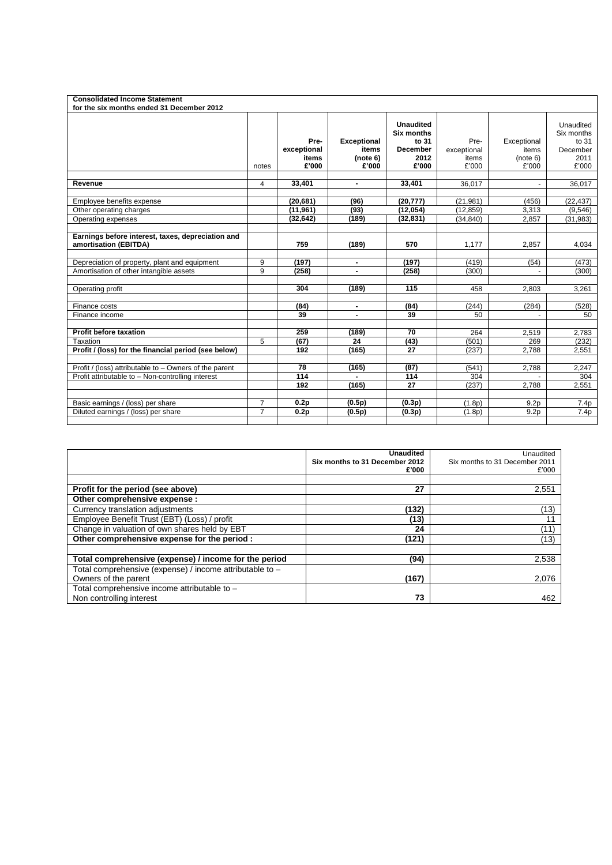| <b>Consolidated Income Statement</b>                   |                |             |                    |                                       |             |                  |                         |
|--------------------------------------------------------|----------------|-------------|--------------------|---------------------------------------|-------------|------------------|-------------------------|
| for the six months ended 31 December 2012              |                |             |                    |                                       |             |                  |                         |
|                                                        |                |             |                    | <b>Unaudited</b><br><b>Six months</b> |             |                  | Unaudited<br>Six months |
|                                                        |                | Pre-        | <b>Exceptional</b> | to 31                                 | Pre-        | Exceptional      | to 31                   |
|                                                        |                | exceptional | items              | December                              | exceptional | items            | December                |
|                                                        |                | items       | (note 6)           | 2012                                  | items       | (note 6)         | 2011                    |
|                                                        | notes          | £'000       | £'000              | £'000                                 | £'000       | £'000            | £'000                   |
|                                                        |                |             |                    |                                       |             |                  |                         |
| Revenue                                                | 4              | 33,401      | $\blacksquare$     | 33,401                                | 36.017      |                  | 36,017                  |
|                                                        |                |             |                    |                                       |             |                  |                         |
| Employee benefits expense                              |                | (20, 681)   | (96)               | (20, 777)                             | (21, 981)   | (456)            | (22, 437)               |
| Other operating charges                                |                | (11, 961)   | (93)               | (12,054)                              | (12.859)    | 3,313            | (9,546)                 |
| Operating expenses                                     |                | (32, 642)   | (189)              | (32, 831)                             | (34, 840)   | 2,857            | (31, 983)               |
|                                                        |                |             |                    |                                       |             |                  |                         |
| Earnings before interest, taxes, depreciation and      |                | 759         |                    | 570                                   |             |                  |                         |
| amortisation (EBITDA)                                  |                |             | (189)              |                                       | 1,177       | 2,857            | 4,034                   |
| Depreciation of property, plant and equipment          | 9              | (197)       | $\blacksquare$     | (197)                                 | (419)       | (54)             | (473)                   |
| Amortisation of other intangible assets                | 9              | (258)       | $\blacksquare$     | (258)                                 | (300)       |                  | (300)                   |
|                                                        |                |             |                    |                                       |             |                  |                         |
| Operating profit                                       |                | 304         | (189)              | 115                                   | 458         | 2.803            | 3,261                   |
|                                                        |                |             |                    |                                       |             |                  |                         |
| Finance costs                                          |                | (84)        | $\blacksquare$     | (84)                                  | (244)       | (284)            | (528)                   |
| Finance income                                         |                | 39          | $\blacksquare$     | 39                                    | 50          |                  | 50                      |
|                                                        |                |             |                    |                                       |             |                  |                         |
| Profit before taxation                                 |                | 259         | (189)              | 70                                    | 264         | 2,519            | 2,783                   |
| Taxation                                               | 5              | (67)        | 24                 | (43)                                  | (501)       | 269              | (232)                   |
| Profit / (loss) for the financial period (see below)   |                | 192         | (165)              | 27                                    | (237)       | 2,788            | 2,551                   |
|                                                        |                |             |                    |                                       |             |                  |                         |
| Profit / (loss) attributable to - Owners of the parent |                | 78          | (165)              | (87)                                  | (541)       | 2,788            | 2,247                   |
| Profit attributable to - Non-controlling interest      |                | 114         | $\blacksquare$     | 114                                   | 304         |                  | 304                     |
|                                                        |                | 192         | (165)              | 27                                    | (237)       | 2,788            | 2,551                   |
|                                                        |                |             |                    |                                       |             |                  |                         |
| Basic earnings / (loss) per share                      | $\overline{7}$ | 0.2p        | (0.5p)             | (0.3p)                                | (1.8p)      | 9.2 <sub>D</sub> | 7.4p                    |
| Diluted earnings / (loss) per share                    | $\overline{7}$ | 0.2p        | (0.5p)             | (0.3p)                                | (1.8p)      | 9.2 <sub>p</sub> | 7.4p                    |
|                                                        |                |             |                    |                                       |             |                  |                         |

|                                                          | Unaudited                      | Unaudited                      |
|----------------------------------------------------------|--------------------------------|--------------------------------|
|                                                          | Six months to 31 December 2012 | Six months to 31 December 2011 |
|                                                          | £'000                          | £'000                          |
|                                                          |                                |                                |
| Profit for the period (see above)                        | 27                             | 2,551                          |
| Other comprehensive expense :                            |                                |                                |
| Currency translation adjustments                         | (132)                          | (13)                           |
| Employee Benefit Trust (EBT) (Loss) / profit             | (13)                           |                                |
| Change in valuation of own shares held by EBT            | 24                             | (11)                           |
| Other comprehensive expense for the period :             | (121)                          | (13)                           |
|                                                          |                                |                                |
| Total comprehensive (expense) / income for the period    | (94)                           | 2,538                          |
| Total comprehensive (expense) / income attributable to - |                                |                                |
| Owners of the parent                                     | (167)                          | 2,076                          |
| Total comprehensive income attributable to -             |                                |                                |
| Non controlling interest                                 | 73                             | 462                            |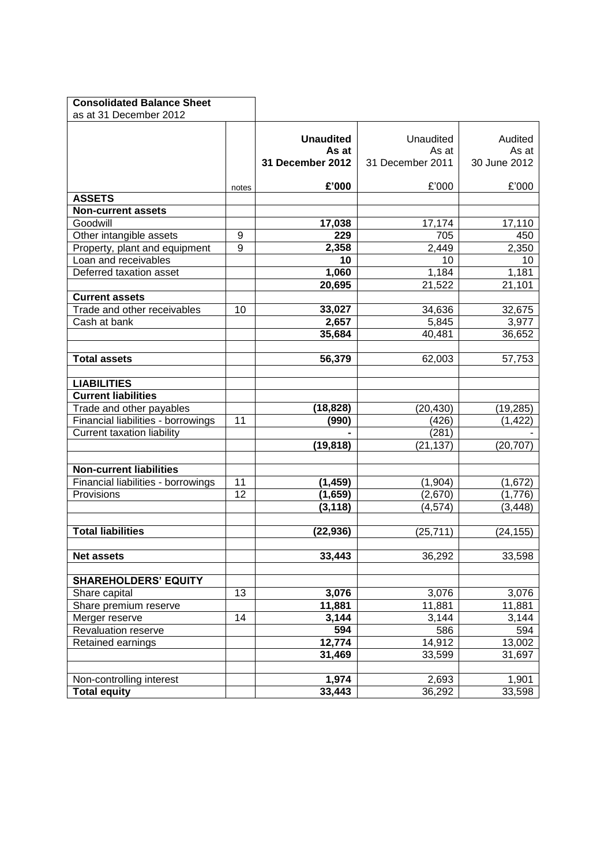| <b>Consolidated Balance Sheet</b>  |       |                           |                    |                  |
|------------------------------------|-------|---------------------------|--------------------|------------------|
| as at 31 December 2012             |       |                           |                    |                  |
|                                    |       |                           |                    |                  |
|                                    |       | <b>Unaudited</b><br>As at | Unaudited<br>As at | Audited<br>As at |
|                                    |       | 31 December 2012          | 31 December 2011   | 30 June 2012     |
|                                    |       |                           |                    |                  |
|                                    | notes | £'000                     | £'000              | £'000            |
| <b>ASSETS</b>                      |       |                           |                    |                  |
| <b>Non-current assets</b>          |       |                           |                    |                  |
| Goodwill                           |       | 17,038                    | 17,174             | 17,110           |
| Other intangible assets            | 9     | 229                       | 705                | 450              |
| Property, plant and equipment      | 9     | 2,358                     | 2,449              | 2,350            |
| Loan and receivables               |       | 10                        | 10                 | 10               |
| Deferred taxation asset            |       | 1,060                     | 1,184              | 1,181            |
|                                    |       | 20,695                    | 21,522             | 21,101           |
| <b>Current assets</b>              |       |                           |                    |                  |
| Trade and other receivables        | 10    | 33,027                    | 34,636             | 32,675           |
| Cash at bank                       |       | 2,657                     | 5,845              | 3,977            |
|                                    |       | 35,684                    | 40,481             | 36,652           |
|                                    |       |                           |                    |                  |
| <b>Total assets</b>                |       | 56,379                    | 62,003             | 57,753           |
| <b>LIABILITIES</b>                 |       |                           |                    |                  |
| <b>Current liabilities</b>         |       |                           |                    |                  |
| Trade and other payables           |       | (18, 828)                 | (20,430)           | (19,285)         |
| Financial liabilities - borrowings | 11    | (990)                     | (426)              | (1, 422)         |
| <b>Current taxation liability</b>  |       |                           | (281)              |                  |
|                                    |       | (19, 818)                 | (21, 137)          | (20, 707)        |
|                                    |       |                           |                    |                  |
| <b>Non-current liabilities</b>     |       |                           |                    |                  |
| Financial liabilities - borrowings | 11    | (1,459)                   | (1,904)            | (1,672)          |
| Provisions                         | 12    | (1,659)                   | (2,670)            | (1,776)          |
|                                    |       | (3,118)                   | (4, 574)           | (3, 448)         |
|                                    |       |                           |                    |                  |
| <b>Total liabilities</b>           |       | (22, 936)                 | (25, 711)          | (24, 155)        |
| <b>Net assets</b>                  |       | 33,443                    | 36,292             | 33,598           |
|                                    |       |                           |                    |                  |
| <b>SHAREHOLDERS' EQUITY</b>        |       |                           |                    |                  |
| Share capital                      | 13    | 3,076                     | 3,076              | 3,076            |
| Share premium reserve              |       | 11,881                    | 11,881             | 11,881           |
| Merger reserve                     | 14    | 3,144                     | 3,144              | 3,144            |
| Revaluation reserve                |       | 594                       | 586                | 594              |
| Retained earnings                  |       | 12,774                    | 14,912             | 13,002           |
|                                    |       | 31,469                    | 33,599             | 31,697           |
|                                    |       |                           |                    |                  |
| Non-controlling interest           |       | 1,974                     | 2,693              | 1,901            |
| <b>Total equity</b>                |       | 33,443                    | 36,292             | 33,598           |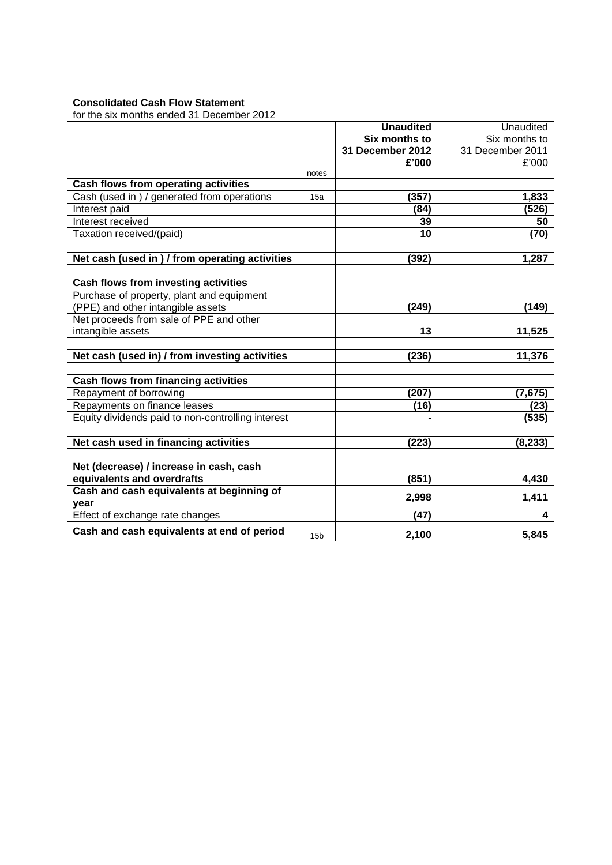| <b>Consolidated Cash Flow Statement</b>           |                 |                  |                  |
|---------------------------------------------------|-----------------|------------------|------------------|
| for the six months ended 31 December 2012         |                 |                  |                  |
|                                                   |                 | <b>Unaudited</b> | Unaudited        |
|                                                   |                 | Six months to    | Six months to    |
|                                                   |                 | 31 December 2012 | 31 December 2011 |
|                                                   |                 | £'000            | £'000            |
|                                                   | notes           |                  |                  |
| Cash flows from operating activities              |                 |                  |                  |
| Cash (used in ) / generated from operations       | 15a             | (357)            | 1,833            |
| Interest paid                                     |                 | (84)             | (526)            |
| Interest received                                 |                 | 39               | 50               |
| Taxation received/(paid)                          |                 | 10               | (70)             |
|                                                   |                 |                  |                  |
| Net cash (used in ) / from operating activities   |                 | (392)            | 1,287            |
|                                                   |                 |                  |                  |
| Cash flows from investing activities              |                 |                  |                  |
| Purchase of property, plant and equipment         |                 |                  |                  |
| (PPE) and other intangible assets                 |                 | (249)            | (149)            |
| Net proceeds from sale of PPE and other           |                 |                  |                  |
| intangible assets                                 |                 | 13               | 11,525           |
|                                                   |                 |                  |                  |
| Net cash (used in) / from investing activities    |                 | (236)            | 11,376           |
|                                                   |                 |                  |                  |
| <b>Cash flows from financing activities</b>       |                 |                  |                  |
| Repayment of borrowing                            |                 | (207)            | (7, 675)         |
| Repayments on finance leases                      |                 | (16)             | (23)             |
| Equity dividends paid to non-controlling interest |                 |                  | (535)            |
|                                                   |                 |                  |                  |
| Net cash used in financing activities             |                 | (223)            | (8, 233)         |
|                                                   |                 |                  |                  |
| Net (decrease) / increase in cash, cash           |                 |                  |                  |
| equivalents and overdrafts                        |                 | (851)            | 4,430            |
| Cash and cash equivalents at beginning of         |                 |                  | 1,411            |
| year                                              |                 | 2,998            |                  |
| Effect of exchange rate changes                   |                 | (47)             | 4                |
| Cash and cash equivalents at end of period        | 15 <sub>b</sub> | 2,100            | 5,845            |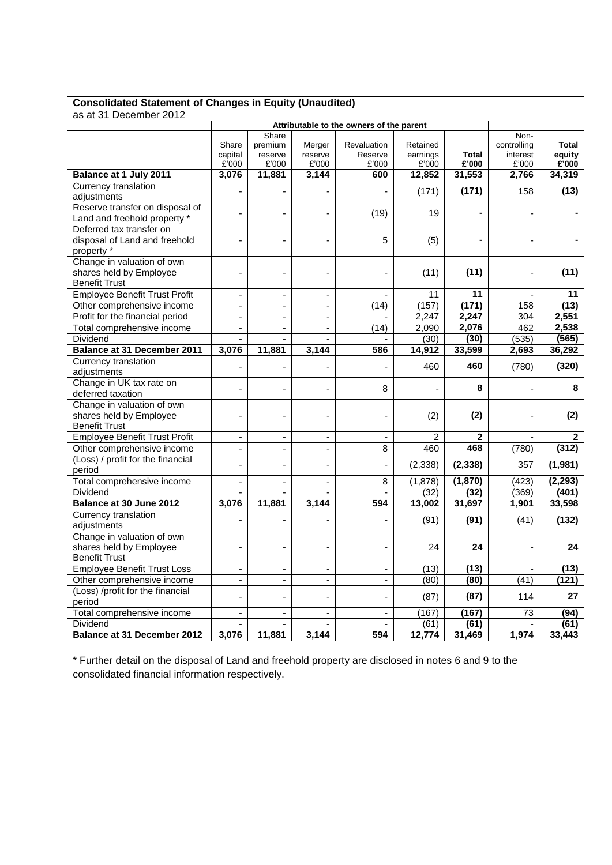|                                      | <b>Consolidated Statement of Changes in Equity (Unaudited)</b> |                          |                          |                                          |                      |              |                         |                |
|--------------------------------------|----------------------------------------------------------------|--------------------------|--------------------------|------------------------------------------|----------------------|--------------|-------------------------|----------------|
| as at 31 December 2012               |                                                                |                          |                          |                                          |                      |              |                         |                |
|                                      |                                                                |                          |                          | Attributable to the owners of the parent |                      |              |                         |                |
|                                      |                                                                | Share                    |                          |                                          |                      |              | Non-                    | <b>Total</b>   |
|                                      | Share<br>capital                                               | premium<br>reserve       | Merger<br>reserve        | Revaluation<br>Reserve                   | Retained<br>earnings | <b>Total</b> | controlling<br>interest | equity         |
|                                      | £'000                                                          | £'000                    | £'000                    | £'000                                    | £'000                | £'000        | $\pounds'000$           | £'000          |
| Balance at 1 July 2011               | 3,076                                                          | 11,881                   | 3,144                    | 600                                      | 12,852               | 31,553       | 2,766                   | 34,319         |
| Currency translation                 |                                                                |                          |                          |                                          |                      |              |                         |                |
| adjustments                          |                                                                |                          |                          |                                          | (171)                | (171)        | 158                     | (13)           |
| Reserve transfer on disposal of      |                                                                |                          |                          |                                          |                      |              |                         |                |
| Land and freehold property *         |                                                                | ä,                       |                          | (19)                                     | 19                   |              |                         |                |
| Deferred tax transfer on             |                                                                |                          |                          |                                          |                      |              |                         |                |
| disposal of Land and freehold        |                                                                |                          |                          | 5                                        | (5)                  |              |                         |                |
| property *                           |                                                                |                          |                          |                                          |                      |              |                         |                |
| Change in valuation of own           |                                                                |                          |                          |                                          |                      |              |                         |                |
| shares held by Employee              |                                                                |                          |                          |                                          | (11)                 | (11)         |                         | (11)           |
| <b>Benefit Trust</b>                 |                                                                |                          |                          |                                          |                      |              |                         |                |
| <b>Employee Benefit Trust Profit</b> | $\blacksquare$                                                 | $\overline{\phantom{a}}$ | ٠                        | $\blacksquare$                           | 11                   | 11           | $\blacksquare$          | 11             |
| Other comprehensive income           | $\qquad \qquad \blacksquare$                                   | $\overline{\phantom{a}}$ | $\overline{\phantom{a}}$ | (14)                                     | (157)                | (171)        | 158                     | (13)           |
| Profit for the financial period      | $\blacksquare$                                                 | $\blacksquare$           | -                        | $\blacksquare$                           | 2,247                | 2,247        | 304                     | 2,551          |
| Total comprehensive income           | $\blacksquare$                                                 | $\blacksquare$           | $\blacksquare$           | (14)                                     | 2,090                | 2,076        | 462                     | 2,538          |
| Dividend                             |                                                                |                          |                          |                                          | (30)                 | (30)         | (535)                   | (565)          |
| Balance at 31 December 2011          | 3,076                                                          | 11,881                   | 3,144                    | 586                                      | 14,912               | 33,599       | 2,693                   | 36,292         |
| Currency translation                 |                                                                |                          |                          |                                          | 460                  | 460          |                         |                |
| adjustments                          |                                                                |                          |                          | $\overline{\phantom{a}}$                 |                      |              | (780)                   | (320)          |
| Change in UK tax rate on             |                                                                |                          |                          | 8                                        |                      | 8            |                         | 8              |
| deferred taxation                    |                                                                |                          |                          |                                          |                      |              |                         |                |
| Change in valuation of own           |                                                                |                          |                          |                                          |                      |              |                         |                |
| shares held by Employee              |                                                                |                          |                          |                                          | (2)                  | (2)          |                         | (2)            |
| <b>Benefit Trust</b>                 |                                                                |                          |                          |                                          |                      |              |                         |                |
| <b>Employee Benefit Trust Profit</b> |                                                                | $\blacksquare$           |                          |                                          | $\overline{2}$       | $\mathbf{2}$ |                         | $\overline{2}$ |
| Other comprehensive income           | $\blacksquare$                                                 | $\overline{\phantom{a}}$ | $\overline{\phantom{a}}$ | 8                                        | 460                  | 468          | (780)                   | (312)          |
| (Loss) / profit for the financial    |                                                                |                          |                          | $\overline{\phantom{0}}$                 | (2, 338)             | (2, 338)     | 357                     | (1,981)        |
| period                               |                                                                |                          |                          |                                          |                      |              |                         |                |
| Total comprehensive income           | $\qquad \qquad \blacksquare$                                   |                          | $\overline{\phantom{a}}$ | 8                                        | (1,878)              | (1,870)      | (423)                   | (2, 293)       |
| Dividend                             | $\overline{a}$                                                 | $\overline{a}$           | $\overline{a}$           | $\mathbf{r}$                             | (32)                 | (32)         | (369)                   | (401)          |
| Balance at 30 June 2012              | 3,076                                                          | 11,881                   | 3,144                    | 594                                      | 13,002               | 31,697       | 1,901                   | 33,598         |
| Currency translation                 |                                                                |                          |                          |                                          | (91)                 | (91)         | (41)                    | (132)          |
| adjustments                          |                                                                |                          |                          |                                          |                      |              |                         |                |
| Change in valuation of own           |                                                                |                          |                          |                                          |                      |              |                         |                |
| shares held by Employee              |                                                                |                          |                          |                                          | 24                   | 24           |                         | 24             |
| <b>Benefit Trust</b>                 |                                                                |                          |                          |                                          |                      |              |                         |                |
| <b>Employee Benefit Trust Loss</b>   | $\qquad \qquad \blacksquare$                                   | $\overline{\phantom{a}}$ | ٠                        | $\overline{\phantom{a}}$                 | (13)                 | (13)         |                         | (13)           |
| Other comprehensive income           | $\blacksquare$                                                 |                          | $\blacksquare$           | $\blacksquare$                           | (80)                 | (80)         | (41)                    | (121)          |
| (Loss) /profit for the financial     | $\blacksquare$                                                 | $\overline{\phantom{a}}$ | $\overline{\phantom{a}}$ | $\overline{\phantom{a}}$                 | (87)                 | (87)         | 114                     | 27             |
| period                               |                                                                |                          |                          |                                          |                      |              |                         |                |
| Total comprehensive income           | $\qquad \qquad \blacksquare$                                   | $\overline{\phantom{a}}$ | ۰                        | $\overline{\phantom{a}}$                 | (167)                | (167)        | 73                      | (94)           |
| Dividend                             | $\blacksquare$                                                 |                          |                          | $\blacksquare$                           | (61)                 | (61)         |                         | (61)           |
| <b>Balance at 31 December 2012</b>   | 3,076                                                          | 11,881                   | 3,144                    | 594                                      | 12,774               | 31,469       | 1,974                   | 33,443         |

\* Further detail on the disposal of Land and freehold property are disclosed in notes 6 and 9 to the consolidated financial information respectively.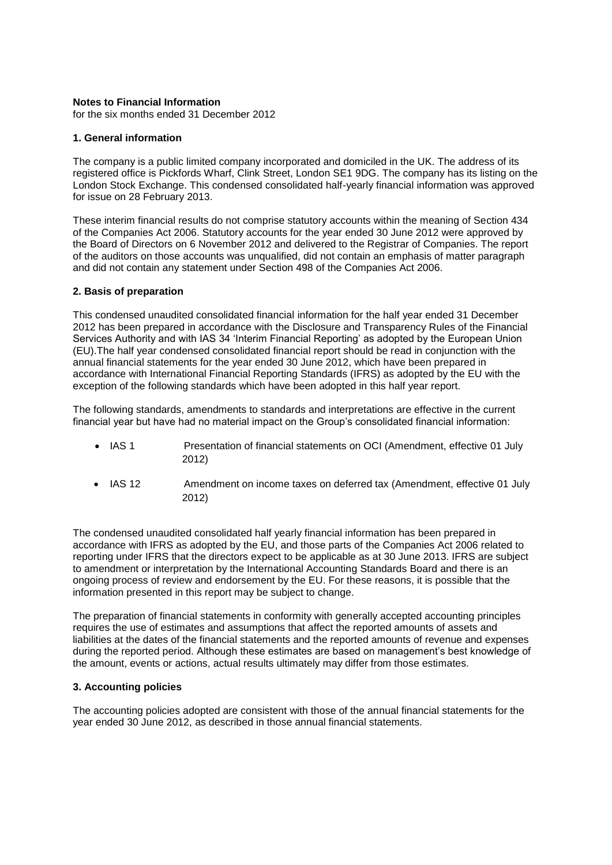#### **Notes to Financial Information**

for the six months ended 31 December 2012

#### **1. General information**

The company is a public limited company incorporated and domiciled in the UK. The address of its registered office is Pickfords Wharf, Clink Street, London SE1 9DG. The company has its listing on the London Stock Exchange. This condensed consolidated half-yearly financial information was approved for issue on 28 February 2013.

These interim financial results do not comprise statutory accounts within the meaning of Section 434 of the Companies Act 2006. Statutory accounts for the year ended 30 June 2012 were approved by the Board of Directors on 6 November 2012 and delivered to the Registrar of Companies. The report of the auditors on those accounts was unqualified, did not contain an emphasis of matter paragraph and did not contain any statement under Section 498 of the Companies Act 2006.

#### **2. Basis of preparation**

This condensed unaudited consolidated financial information for the half year ended 31 December 2012 has been prepared in accordance with the Disclosure and Transparency Rules of the Financial Services Authority and with IAS 34 'Interim Financial Reporting' as adopted by the European Union (EU).The half year condensed consolidated financial report should be read in conjunction with the annual financial statements for the year ended 30 June 2012, which have been prepared in accordance with International Financial Reporting Standards (IFRS) as adopted by the EU with the exception of the following standards which have been adopted in this half year report.

The following standards, amendments to standards and interpretations are effective in the current financial year but have had no material impact on the Group's consolidated financial information:

- IAS 1 Presentation of financial statements on OCI (Amendment, effective 01 July 2012)
- IAS 12 Amendment on income taxes on deferred tax (Amendment, effective 01 July 2012)

The condensed unaudited consolidated half yearly financial information has been prepared in accordance with IFRS as adopted by the EU, and those parts of the Companies Act 2006 related to reporting under IFRS that the directors expect to be applicable as at 30 June 2013. IFRS are subject to amendment or interpretation by the International Accounting Standards Board and there is an ongoing process of review and endorsement by the EU. For these reasons, it is possible that the information presented in this report may be subject to change.

The preparation of financial statements in conformity with generally accepted accounting principles requires the use of estimates and assumptions that affect the reported amounts of assets and liabilities at the dates of the financial statements and the reported amounts of revenue and expenses during the reported period. Although these estimates are based on management's best knowledge of the amount, events or actions, actual results ultimately may differ from those estimates.

#### **3. Accounting policies**

The accounting policies adopted are consistent with those of the annual financial statements for the year ended 30 June 2012, as described in those annual financial statements.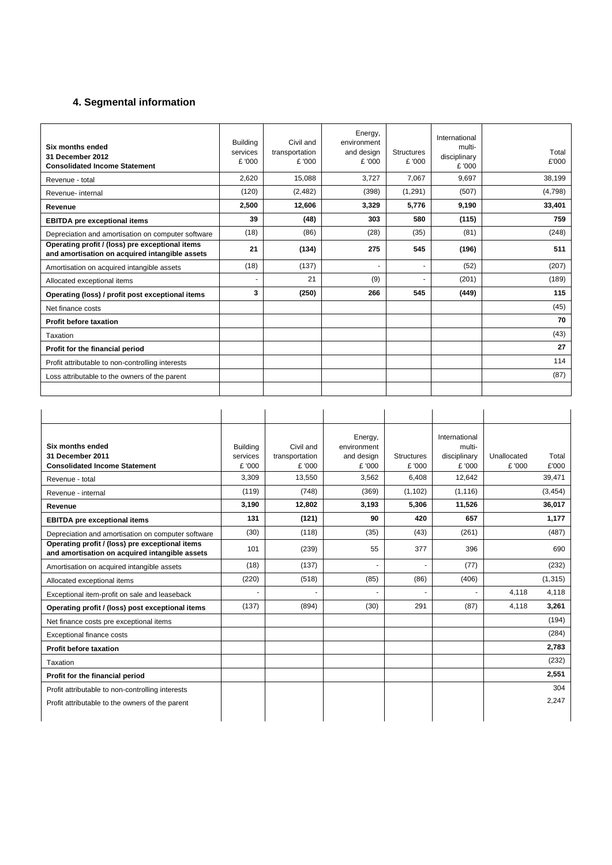# **4. Segmental information**

| Six months ended<br>31 December 2012<br><b>Consolidated Income Statement</b>                      | <b>Building</b><br>services<br>£ '000 | Civil and<br>transportation<br>£ '000 | Energy,<br>environment<br>and design<br>£ '000 | <b>Structures</b><br>£ '000 | International<br>multi-<br>disciplinary<br>£ '000 | Total<br>£'000 |
|---------------------------------------------------------------------------------------------------|---------------------------------------|---------------------------------------|------------------------------------------------|-----------------------------|---------------------------------------------------|----------------|
| Revenue - total                                                                                   | 2,620                                 | 15,088                                | 3,727                                          | 7,067                       | 9.697                                             | 38,199         |
| Revenue- internal                                                                                 | (120)                                 | (2,482)                               | (398)                                          | (1, 291)                    | (507)                                             | (4,798)        |
| Revenue                                                                                           | 2,500                                 | 12,606                                | 3,329                                          | 5,776                       | 9,190                                             | 33,401         |
| <b>EBITDA</b> pre exceptional items                                                               | 39                                    | (48)                                  | 303                                            | 580                         | (115)                                             | 759            |
| Depreciation and amortisation on computer software                                                | (18)                                  | (86)                                  | (28)                                           | (35)                        | (81)                                              | (248)          |
| Operating profit / (loss) pre exceptional items<br>and amortisation on acquired intangible assets | 21                                    | (134)                                 | 275                                            | 545                         | (196)                                             | 511            |
| Amortisation on acquired intangible assets                                                        | (18)                                  | (137)                                 | $\overline{\phantom{a}}$                       |                             | (52)                                              | (207)          |
| Allocated exceptional items                                                                       | ÷                                     | 21                                    | (9)                                            |                             | (201)                                             | (189)          |
| Operating (loss) / profit post exceptional items                                                  | 3                                     | (250)                                 | 266                                            | 545                         | (449)                                             | 115            |
| Net finance costs                                                                                 |                                       |                                       |                                                |                             |                                                   | (45)           |
| Profit before taxation                                                                            |                                       |                                       |                                                |                             |                                                   | 70             |
| Taxation                                                                                          |                                       |                                       |                                                |                             |                                                   | (43)           |
| Profit for the financial period                                                                   |                                       |                                       |                                                |                             |                                                   | 27             |
| Profit attributable to non-controlling interests                                                  |                                       |                                       |                                                |                             |                                                   | 114            |
| Loss attributable to the owners of the parent                                                     |                                       |                                       |                                                |                             |                                                   | (87)           |

| Six months ended                                                                                  | <b>Building</b> | Civil and      | Energy,<br>environment |                   | International<br>multi- |             |          |
|---------------------------------------------------------------------------------------------------|-----------------|----------------|------------------------|-------------------|-------------------------|-------------|----------|
| 31 December 2011                                                                                  | services        | transportation | and design             | <b>Structures</b> | disciplinary            | Unallocated | Total    |
| <b>Consolidated Income Statement</b>                                                              | £ '000          | £ '000         | £ '000                 | £ '000            | £ '000                  | £ '000      | £'000    |
| Revenue - total                                                                                   | 3,309           | 13,550         | 3,562                  | 6,408             | 12,642                  |             | 39,471   |
| Revenue - internal                                                                                | (119)           | (748)          | (369)                  | (1, 102)          | (1, 116)                |             | (3, 454) |
| Revenue                                                                                           | 3,190           | 12,802         | 3,193                  | 5,306             | 11,526                  |             | 36,017   |
| <b>EBITDA</b> pre exceptional items                                                               | 131             | (121)          | 90                     | 420               | 657                     |             | 1,177    |
| Depreciation and amortisation on computer software                                                | (30)            | (118)          | (35)                   | (43)              | (261)                   |             | (487)    |
| Operating profit / (loss) pre exceptional items<br>and amortisation on acquired intangible assets | 101             | (239)          | 55                     | 377               | 396                     |             | 690      |
| Amortisation on acquired intangible assets                                                        | (18)            | (137)          | ۰                      | ۰                 | (77)                    |             | (232)    |
| Allocated exceptional items                                                                       | (220)           | (518)          | (85)                   | (86)              | (406)                   |             | (1, 315) |
| Exceptional item-profit on sale and leaseback                                                     |                 |                | ۰                      |                   |                         | 4,118       | 4,118    |
| Operating profit / (loss) post exceptional items                                                  | (137)           | (894)          | (30)                   | 291               | (87)                    | 4,118       | 3,261    |
| Net finance costs pre exceptional items                                                           |                 |                |                        |                   |                         |             | (194)    |
| Exceptional finance costs                                                                         |                 |                |                        |                   |                         |             | (284)    |
| <b>Profit before taxation</b>                                                                     |                 |                |                        |                   |                         |             | 2.783    |
| Taxation                                                                                          |                 |                |                        |                   |                         |             | (232)    |
| Profit for the financial period                                                                   |                 |                |                        |                   |                         |             | 2,551    |
| Profit attributable to non-controlling interests                                                  |                 |                |                        |                   |                         |             | 304      |
| Profit attributable to the owners of the parent                                                   |                 |                |                        |                   |                         |             | 2,247    |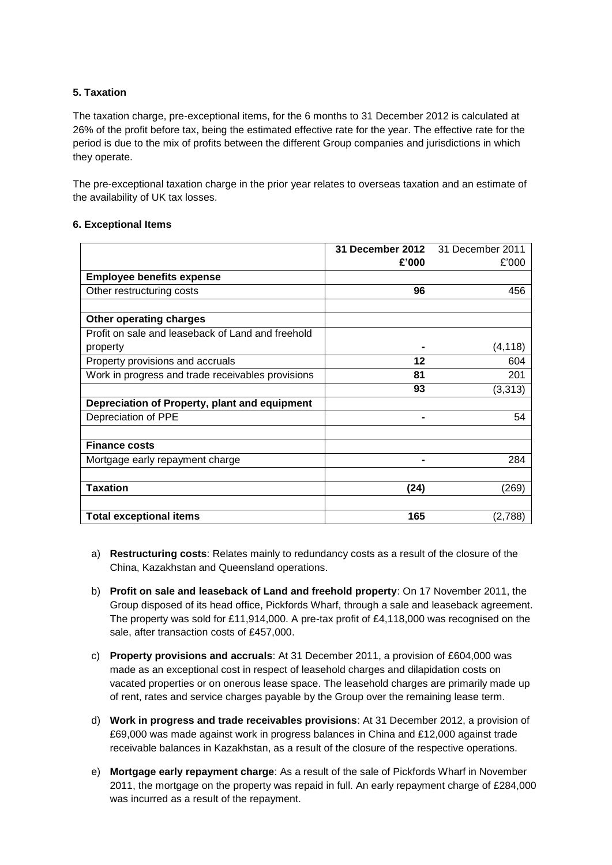# **5. Taxation**

The taxation charge, pre-exceptional items, for the 6 months to 31 December 2012 is calculated at 26% of the profit before tax, being the estimated effective rate for the year. The effective rate for the period is due to the mix of profits between the different Group companies and jurisdictions in which they operate.

The pre-exceptional taxation charge in the prior year relates to overseas taxation and an estimate of the availability of UK tax losses.

|                                                   | 31 December 2012 31 December 2011 |          |
|---------------------------------------------------|-----------------------------------|----------|
|                                                   | £'000                             | £'000    |
| <b>Employee benefits expense</b>                  |                                   |          |
| Other restructuring costs                         | 96                                | 456      |
|                                                   |                                   |          |
| Other operating charges                           |                                   |          |
| Profit on sale and leaseback of Land and freehold |                                   |          |
| property                                          |                                   | (4, 118) |
| Property provisions and accruals                  | $12 \,$                           | 604      |
| Work in progress and trade receivables provisions | 81                                | 201      |
|                                                   | 93                                | (3,313)  |
| Depreciation of Property, plant and equipment     |                                   |          |
| Depreciation of PPE                               |                                   | 54       |
|                                                   |                                   |          |
| <b>Finance costs</b>                              |                                   |          |
| Mortgage early repayment charge                   |                                   | 284      |
|                                                   |                                   |          |
| <b>Taxation</b>                                   | (24)                              | (269)    |
|                                                   |                                   |          |
| <b>Total exceptional items</b>                    | 165                               | (2,788)  |

# **6. Exceptional Items**

- a) **Restructuring costs**: Relates mainly to redundancy costs as a result of the closure of the China, Kazakhstan and Queensland operations.
- b) **Profit on sale and leaseback of Land and freehold property**: On 17 November 2011, the Group disposed of its head office, Pickfords Wharf, through a sale and leaseback agreement. The property was sold for £11,914,000. A pre-tax profit of £4,118,000 was recognised on the sale, after transaction costs of £457,000.
- c) **Property provisions and accruals**: At 31 December 2011, a provision of £604,000 was made as an exceptional cost in respect of leasehold charges and dilapidation costs on vacated properties or on onerous lease space. The leasehold charges are primarily made up of rent, rates and service charges payable by the Group over the remaining lease term.
- d) **Work in progress and trade receivables provisions**: At 31 December 2012, a provision of £69,000 was made against work in progress balances in China and £12,000 against trade receivable balances in Kazakhstan, as a result of the closure of the respective operations.
- e) **Mortgage early repayment charge**: As a result of the sale of Pickfords Wharf in November 2011, the mortgage on the property was repaid in full. An early repayment charge of £284,000 was incurred as a result of the repayment.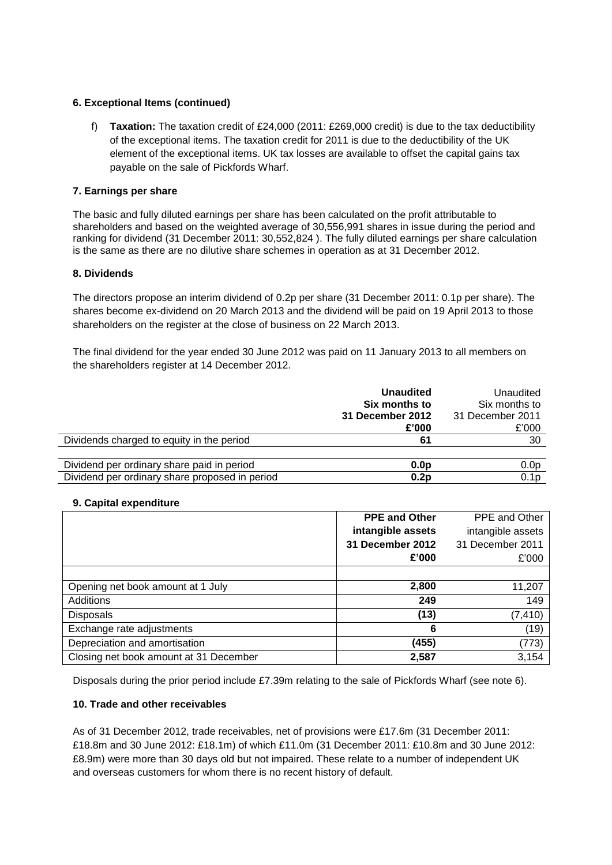# **6. Exceptional Items (continued)**

f) **Taxation:** The taxation credit of £24,000 (2011: £269,000 credit) is due to the tax deductibility of the exceptional items. The taxation credit for 2011 is due to the deductibility of the UK element of the exceptional items. UK tax losses are available to offset the capital gains tax payable on the sale of Pickfords Wharf.

# **7. Earnings per share**

The basic and fully diluted earnings per share has been calculated on the profit attributable to shareholders and based on the weighted average of 30,556,991 shares in issue during the period and ranking for dividend (31 December 2011: 30,552,824 ). The fully diluted earnings per share calculation is the same as there are no dilutive share schemes in operation as at 31 December 2012.

# **8. Dividends**

The directors propose an interim dividend of 0.2p per share (31 December 2011: 0.1p per share). The shares become ex-dividend on 20 March 2013 and the dividend will be paid on 19 April 2013 to those shareholders on the register at the close of business on 22 March 2013.

The final dividend for the year ended 30 June 2012 was paid on 11 January 2013 to all members on the shareholders register at 14 December 2012.

|                                                | <b>Unaudited</b><br>Six months to<br>31 December 2012<br>£'000 | Unaudited<br>Six months to<br>31 December 2011<br>£'000 |
|------------------------------------------------|----------------------------------------------------------------|---------------------------------------------------------|
| Dividends charged to equity in the period      | 61                                                             | 30                                                      |
|                                                |                                                                |                                                         |
| Dividend per ordinary share paid in period     | 0.0 <sub>p</sub>                                               | 0.0 <sub>p</sub>                                        |
| Dividend per ordinary share proposed in period | 0.2p                                                           | 0.1 <sub>p</sub>                                        |
|                                                |                                                                |                                                         |

# **9. Capital expenditure**

|                                        | <b>PPE and Other</b>    | PPE and Other     |
|----------------------------------------|-------------------------|-------------------|
|                                        | intangible assets       | intangible assets |
|                                        | <b>31 December 2012</b> | 31 December 2011  |
|                                        | £'000                   | £'000             |
|                                        |                         |                   |
| Opening net book amount at 1 July      | 2,800                   | 11,207            |
| Additions                              | 249                     | 149               |
| <b>Disposals</b>                       | (13)                    | (7, 410)          |
| Exchange rate adjustments              | 6                       | (19)              |
| Depreciation and amortisation          | (455)                   | (773)             |
| Closing net book amount at 31 December | 2,587                   | 3,154             |

Disposals during the prior period include £7.39m relating to the sale of Pickfords Wharf (see note 6).

# **10. Trade and other receivables**

As of 31 December 2012, trade receivables, net of provisions were £17.6m (31 December 2011: £18.8m and 30 June 2012: £18.1m) of which £11.0m (31 December 2011: £10.8m and 30 June 2012: £8.9m) were more than 30 days old but not impaired. These relate to a number of independent UK and overseas customers for whom there is no recent history of default.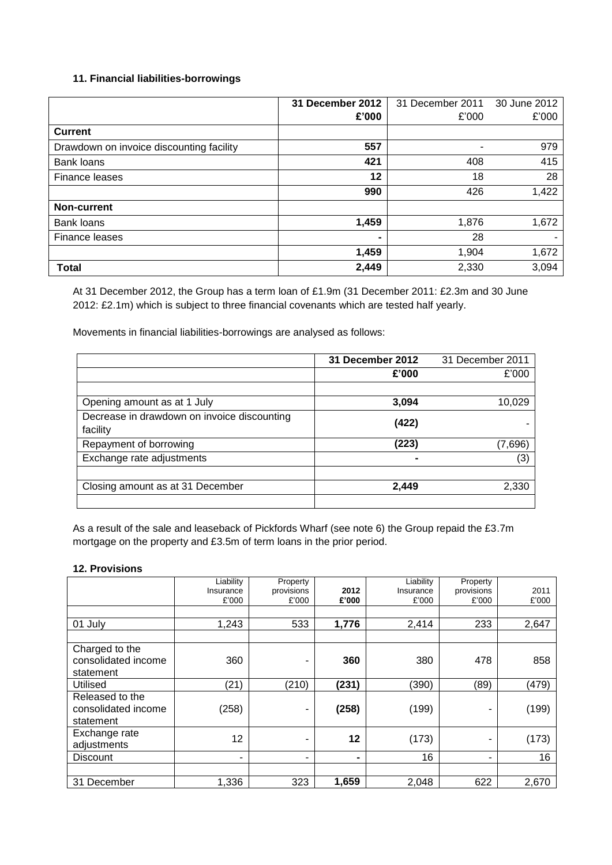# **11. Financial liabilities-borrowings**

|                                          | 31 December 2012 | 31 December 2011 | 30 June 2012 |
|------------------------------------------|------------------|------------------|--------------|
|                                          | £'000            | £'000            | £'000        |
| <b>Current</b>                           |                  |                  |              |
| Drawdown on invoice discounting facility | 557              |                  | 979          |
| <b>Bank loans</b>                        | 421              | 408              | 415          |
| Finance leases                           | 12               | 18               | 28           |
|                                          | 990              | 426              | 1,422        |
| Non-current                              |                  |                  |              |
| <b>Bank loans</b>                        | 1,459            | 1,876            | 1,672        |
| Finance leases                           | $\blacksquare$   | 28               | ٠            |
|                                          | 1,459            | 1,904            | 1,672        |
| <b>Total</b>                             | 2,449            | 2,330            | 3,094        |

At 31 December 2012, the Group has a term loan of £1.9m (31 December 2011: £2.3m and 30 June 2012: £2.1m) which is subject to three financial covenants which are tested half yearly.

Movements in financial liabilities-borrowings are analysed as follows:

|                                             | 31 December 2012 | 31 December 2011 |
|---------------------------------------------|------------------|------------------|
|                                             | £'000            | £'000            |
|                                             |                  |                  |
| Opening amount as at 1 July                 | 3,094            | 10,029           |
| Decrease in drawdown on invoice discounting | (422)            |                  |
| facility                                    |                  |                  |
| Repayment of borrowing                      | (223)            | (7,696)          |
| Exchange rate adjustments                   | $\blacksquare$   | (3)              |
|                                             |                  |                  |
| Closing amount as at 31 December            | 2,449            | 2,330            |
|                                             |                  |                  |

As a result of the sale and leaseback of Pickfords Wharf (see note 6) the Group repaid the £3.7m mortgage on the property and £3.5m of term loans in the prior period.

#### **12. Provisions**

|                                                     | Liability<br>Insurance<br>£'000 | Property<br>provisions<br>£'000 | 2012<br>£'000  | Liability<br>Insurance<br>£'000 | Property<br>provisions<br>£'000 | 2011<br>£'000 |
|-----------------------------------------------------|---------------------------------|---------------------------------|----------------|---------------------------------|---------------------------------|---------------|
|                                                     |                                 |                                 |                |                                 |                                 |               |
| 01 July                                             | 1,243                           | 533                             | 1,776          | 2,414                           | 233                             | 2,647         |
|                                                     |                                 |                                 |                |                                 |                                 |               |
| Charged to the<br>consolidated income<br>statement  | 360                             |                                 | 360            | 380                             | 478                             | 858           |
| <b>Utilised</b>                                     | (21)                            | (210)                           | (231)          | (390)                           | (89)                            | (479)         |
| Released to the<br>consolidated income<br>statement | (258)                           | ۰                               | (258)          | (199)                           | ۰                               | (199)         |
| Exchange rate<br>adjustments                        | 12                              | ٠                               | 12             | (173)                           | $\overline{\phantom{a}}$        | (173)         |
| <b>Discount</b>                                     | ۰                               | ۰                               | $\blacksquare$ | 16                              | ٠                               | 16            |
|                                                     |                                 |                                 |                |                                 |                                 |               |
| 31 December                                         | 1,336                           | 323                             | 1,659          | 2,048                           | 622                             | 2,670         |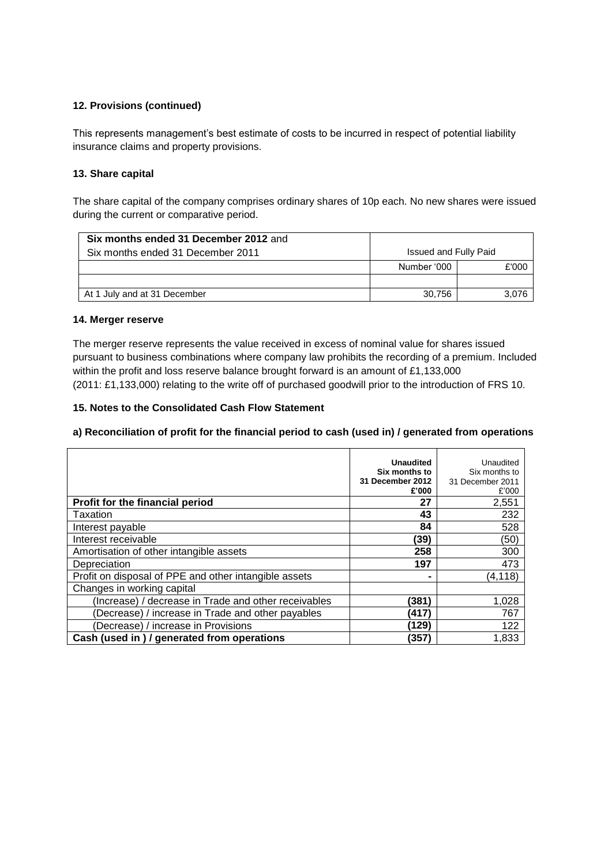# **12. Provisions (continued)**

This represents management's best estimate of costs to be incurred in respect of potential liability insurance claims and property provisions.

### **13. Share capital**

The share capital of the company comprises ordinary shares of 10p each. No new shares were issued during the current or comparative period.

| Six months ended 31 December 2012 and |                       |       |  |
|---------------------------------------|-----------------------|-------|--|
| Six months ended 31 December 2011     | Issued and Fully Paid |       |  |
|                                       | Number '000           | £'000 |  |
|                                       |                       |       |  |
| At 1 July and at 31 December          | 30.756                | 3.076 |  |

#### **14. Merger reserve**

The merger reserve represents the value received in excess of nominal value for shares issued pursuant to business combinations where company law prohibits the recording of a premium. Included within the profit and loss reserve balance brought forward is an amount of £1,133,000 (2011: £1,133,000) relating to the write off of purchased goodwill prior to the introduction of FRS 10.

# **15. Notes to the Consolidated Cash Flow Statement**

**a) Reconciliation of profit for the financial period to cash (used in) / generated from operations**

|                                                       | <b>Unaudited</b><br>Six months to<br>31 December 2012<br>£'000 | Unaudited<br>Six months to<br>31 December 2011<br>£'000 |
|-------------------------------------------------------|----------------------------------------------------------------|---------------------------------------------------------|
| <b>Profit for the financial period</b>                | 27                                                             | 2,551                                                   |
| Taxation                                              | 43                                                             | 232                                                     |
| Interest payable                                      | 84                                                             | 528                                                     |
| Interest receivable                                   | (39)                                                           | (50)                                                    |
| Amortisation of other intangible assets               | 258                                                            | 300                                                     |
| Depreciation                                          | 197                                                            | 473                                                     |
| Profit on disposal of PPE and other intangible assets |                                                                | (4,118)                                                 |
| Changes in working capital                            |                                                                |                                                         |
| (Increase) / decrease in Trade and other receivables  | (381)                                                          | 1,028                                                   |
| (Decrease) / increase in Trade and other payables     | (417                                                           | 767                                                     |
| (Decrease) / increase in Provisions                   | (129)                                                          | 122                                                     |
| Cash (used in ) / generated from operations           | (357)                                                          | 1,833                                                   |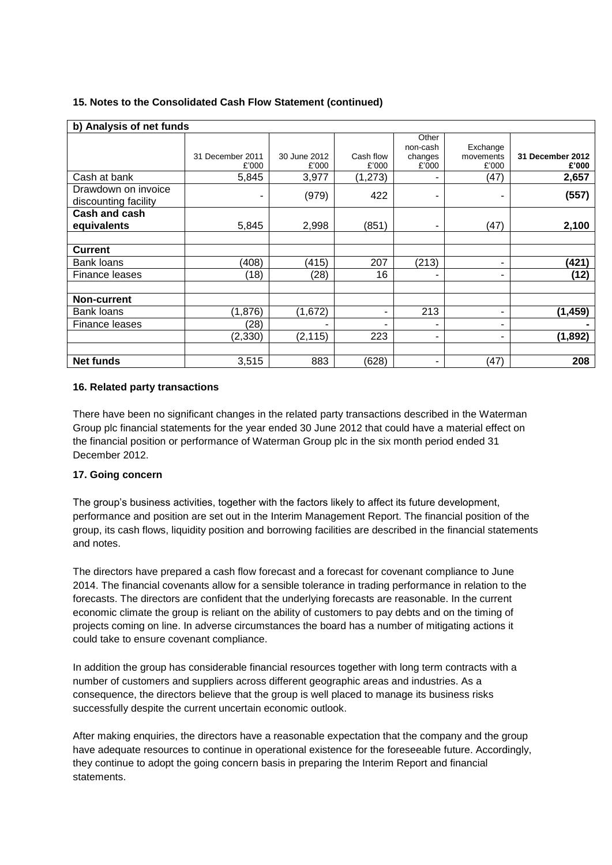| b) Analysis of net funds                    |                  |              |           |                          |                    |                  |
|---------------------------------------------|------------------|--------------|-----------|--------------------------|--------------------|------------------|
|                                             | 31 December 2011 | 30 June 2012 | Cash flow | Other<br>non-cash        | Exchange           | 31 December 2012 |
|                                             | £'000            | £'000        | £'000     | changes<br>£'000         | movements<br>£'000 | £'000            |
| Cash at bank                                | 5,845            | 3,977        | (1, 273)  | ۰                        | (47)               | 2,657            |
| Drawdown on invoice<br>discounting facility |                  | (979)        | 422       | ۰                        |                    | (557)            |
| <b>Cash and cash</b>                        |                  |              |           |                          |                    |                  |
| equivalents                                 | 5,845            | 2,998        | (851)     | $\overline{\phantom{a}}$ | (47)               | 2,100            |
|                                             |                  |              |           |                          |                    |                  |
| Current                                     |                  |              |           |                          |                    |                  |
| Bank loans                                  | (408)            | (415)        | 207       | (213)                    | ۰                  | (421)            |
| Finance leases                              | (18)             | (28)         | 16        | ۰                        |                    | (12)             |
|                                             |                  |              |           |                          |                    |                  |
| <b>Non-current</b>                          |                  |              |           |                          |                    |                  |
| Bank loans                                  | (1,876)          | (1,672)      | ۰         | 213                      |                    | (1, 459)         |
| Finance leases                              | 28)              |              | ۰         | ۰                        | ۰                  |                  |
|                                             | (2, 330)         | (2, 115)     | 223       | ۰                        | ۰                  | (1, 892)         |
|                                             |                  |              |           |                          |                    |                  |
| <b>Net funds</b>                            | 3,515            | 883          | (628)     | ۰                        | (47)               | 208              |

# **15. Notes to the Consolidated Cash Flow Statement (continued)**

# **16. Related party transactions**

There have been no significant changes in the related party transactions described in the Waterman Group plc financial statements for the year ended 30 June 2012 that could have a material effect on the financial position or performance of Waterman Group plc in the six month period ended 31 December 2012.

# **17. Going concern**

The group's business activities, together with the factors likely to affect its future development, performance and position are set out in the Interim Management Report. The financial position of the group, its cash flows, liquidity position and borrowing facilities are described in the financial statements and notes.

The directors have prepared a cash flow forecast and a forecast for covenant compliance to June 2014. The financial covenants allow for a sensible tolerance in trading performance in relation to the forecasts. The directors are confident that the underlying forecasts are reasonable. In the current economic climate the group is reliant on the ability of customers to pay debts and on the timing of projects coming on line. In adverse circumstances the board has a number of mitigating actions it could take to ensure covenant compliance.

In addition the group has considerable financial resources together with long term contracts with a number of customers and suppliers across different geographic areas and industries. As a consequence, the directors believe that the group is well placed to manage its business risks successfully despite the current uncertain economic outlook.

After making enquiries, the directors have a reasonable expectation that the company and the group have adequate resources to continue in operational existence for the foreseeable future. Accordingly, they continue to adopt the going concern basis in preparing the Interim Report and financial statements.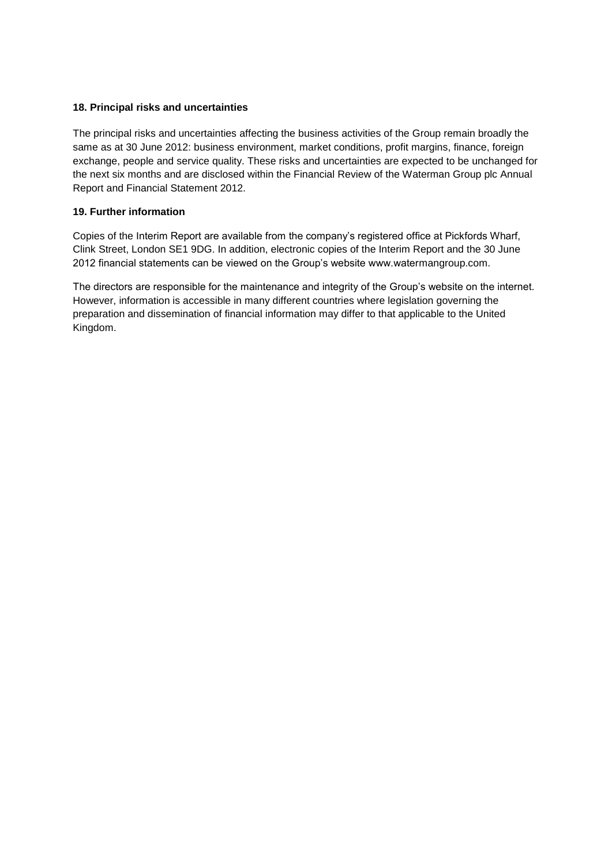# **18. Principal risks and uncertainties**

The principal risks and uncertainties affecting the business activities of the Group remain broadly the same as at 30 June 2012: business environment, market conditions, profit margins, finance, foreign exchange, people and service quality. These risks and uncertainties are expected to be unchanged for the next six months and are disclosed within the Financial Review of the Waterman Group plc Annual Report and Financial Statement 2012.

# **19. Further information**

Copies of the Interim Report are available from the company's registered office at Pickfords Wharf, Clink Street, London SE1 9DG. In addition, electronic copies of the Interim Report and the 30 June 2012 financial statements can be viewed on the Group's website www.watermangroup.com.

The directors are responsible for the maintenance and integrity of the Group's website on the internet. However, information is accessible in many different countries where legislation governing the preparation and dissemination of financial information may differ to that applicable to the United Kingdom.